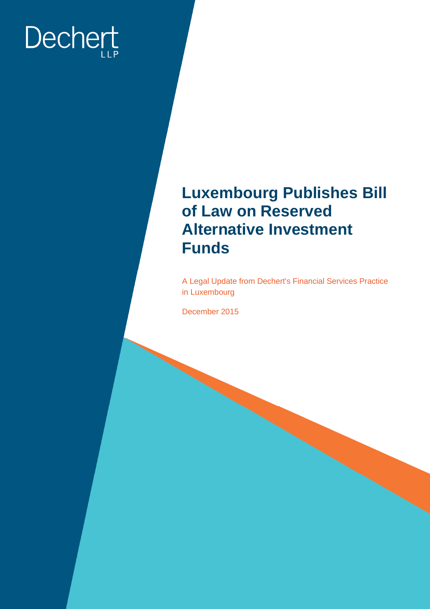# Dechert

### **Luxembourg Publishes Bill of Law on Reserved Alternative Investment Funds**

A Legal Update from Dechert's Financial Services Practice in Luxembourg

December 2015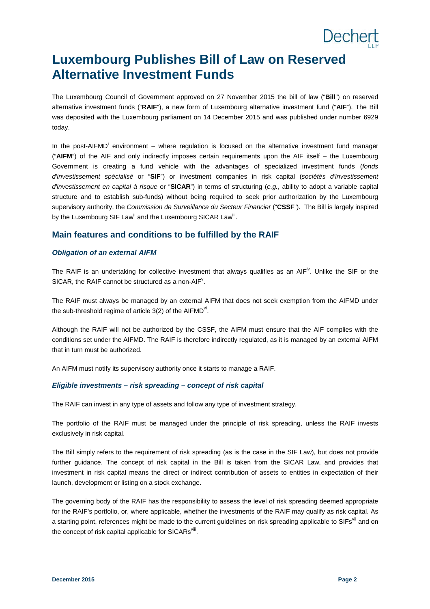# Dechert

### **Luxembourg Publishes Bill of Law on Reserved Alternative Investment Funds**

The Luxembourg Council of Government approved on 27 November 2015 the bill of law ("**Bill**") on reserved alternative investment funds ("**RAIF**"), a new form of Luxembourg alternative investment fund ("**AIF**"). The Bill was deposited with the Luxembourg parliament on 14 December 2015 and was published under number 6929 today.

In the post-AIFM[D](#page-8-0)<sup>i</sup> environment – where regulation is focused on the alternative investment fund manager ("**AIFM**") of the AIF and only indirectly imposes certain requirements upon the AIF itself – the Luxembourg Government is creating a fund vehicle with the advantages of specialized investment funds (*fonds d'investissement spécialisé* or "**SIF**") or investment companies in risk capital (*sociétés d'investissement d'investissement en capital à risque* or "**SICAR**") in terms of structuring (*e.g.*, ability to adopt a variable capital structure and to establish sub-funds) without being required to seek prior authorization by the Luxembourg supervisory authority, the *Commission de Surveillance du Secteur Financier* ("**CSSF**"). The Bill is largely inspired bythe Luxembourg SIF Law<sup>ii</sup> and the Luxembourg SICAR Law<sup>iii</sup>.

#### **Main features and conditions to be fulfilled by the RAIF**

#### *Obligation of an external AIFM*

TheRAIF is an undertaking for collective investment that always qualifies as an AIF<sup>iv</sup>. Unlike the SIF or the SICAR, the RAIF cannot be structured as a non-AIF $^{\vee}$ [.](#page-8-4)

The RAIF must always be managed by an external AIFM that does not seek exemption from the AIFMD under the sub-threshold regime of article 3(2) of the AIFMD<sup>vi</sup>[.](#page-8-5)

Although the RAIF will not be authorized by the CSSF, the AIFM must ensure that the AIF complies with the conditions set under the AIFMD. The RAIF is therefore indirectly regulated, as it is managed by an external AIFM that in turn must be authorized.

An AIFM must notify its supervisory authority once it starts to manage a RAIF.

#### *Eligible investments – risk spreading – concept of risk capital*

The RAIF can invest in any type of assets and follow any type of investment strategy.

The portfolio of the RAIF must be managed under the principle of risk spreading, unless the RAIF invests exclusively in risk capital.

The Bill simply refers to the requirement of risk spreading (as is the case in the SIF Law), but does not provide further guidance. The concept of risk capital in the Bill is taken from the SICAR Law, and provides that investment in risk capital means the direct or indirect contribution of assets to entities in expectation of their launch, development or listing on a stock exchange.

The governing body of the RAIF has the responsibility to assess the level of risk spreading deemed appropriate for the RAIF's portfolio, or, where applicable, whether the investments of the RAIF may qualify as risk capital. As a[s](#page-8-6)tarting point, references might be made to the current guidelines on risk spreading applicable to SIFs<sup>vii</sup> and on the concept of risk capital applicable for SICARs $^{\text{viii}}$ [.](#page-8-7)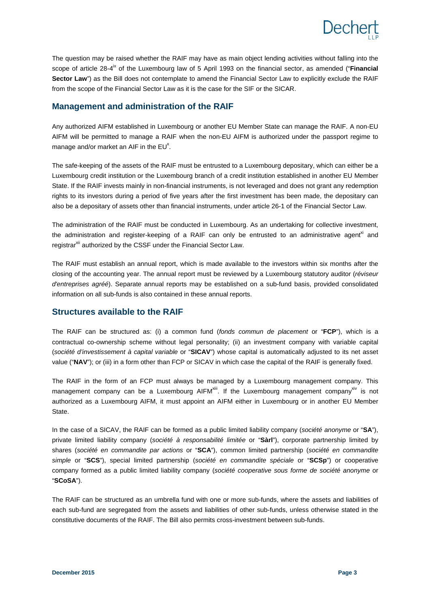

The question may be raised whether the RAIF may have as main object lending activities without falling into the scopeof article 28-4<sup>ix</sup> of the Luxembourg law of 5 April 1993 on the financial sector, as amended ("**Financial Sector Law**") as the Bill does not contemplate to amend the Financial Sector Law to explicitly exclude the RAIF from the scope of the Financial Sector Law as it is the case for the SIF or the SICAR.

#### **Management and administration of the RAIF**

Any authorized AIFM established in Luxembourg or another EU Member State can manage the RAIF. A non-EU AIFM will be permitted to manage a RAIF when the non-EU AIFM is authorized under the passport regime to manageand/or market an AIF in the  $EU^x$ .

The safe-keeping of the assets of the RAIF must be entrusted to a Luxembourg depositary, which can either be a Luxembourg credit institution or the Luxembourg branch of a credit institution established in another EU Member State. If the RAIF invests mainly in non-financial instruments, is not leveraged and does not grant any redemption rights to its investors during a period of five years after the first investment has been made, the depositary can also be a depositary of assets other than financial instruments, under article 26-1 of the Financial Sector Law.

The administration of the RAIF must be conducted in Luxembourg. As an undertaking for collective investment, the administration and register-keeping of a RAIF can only be entrusted to an administrative agent<sup>[xi](#page-8-10)</sup> and registrar<sup>[xii](#page-8-11)</sup> authorized by the CSSF under the Financial Sector Law.

The RAIF must establish an annual report, which is made available to the investors within six months after the closing of the accounting year. The annual report must be reviewed by a Luxembourg statutory auditor (*réviseur d'entreprises agréé*). Separate annual reports may be established on a sub-fund basis, provided consolidated information on all sub-funds is also contained in these annual reports.

#### **Structures available to the RAIF**

The RAIF can be structured as: (i) a common fund (*fonds commun de placement* or "**FCP**"), which is a contractual co-ownership scheme without legal personality; (ii) an investment company with variable capital (*société d'investissement à capital variable* or "**SICAV**") whose capital is automatically adjusted to its net asset value ("NAV"); or (iii) in a form other than FCP or SICAV in which case the capital of the RAIF is generally fixed.

The RAIF in the form of an FCP must always be managed by a Luxembourg management company. This management company can be a Luxembourg AIFM $^{\text{xiii}}$ [.](#page-8-12) If the Luxembourg management company $^{\text{xiv}}$  $^{\text{xiv}}$  $^{\text{xiv}}$  is not authorized as a Luxembourg AIFM, it must appoint an AIFM either in Luxembourg or in another EU Member State.

In the case of a SICAV, the RAIF can be formed as a public limited liability company (*société anonyme* or "**SA**"), private limited liability company (*société à responsabilité limitée* or "**Sàrl**"), corporate partnership limited by shares (*société en commandite par actions* or "**SCA**"), common limited partnership (*société en commandite simple* or "**SCS**"), special limited partnership (*société en commandite spéciale* or "**SCSp**") or cooperative company formed as a public limited liability company (*société cooperative sous forme de société anonyme* or "**SCoSA**").

The RAIF can be structured as an umbrella fund with one or more sub-funds, where the assets and liabilities of each sub-fund are segregated from the assets and liabilities of other sub-funds, unless otherwise stated in the constitutive documents of the RAIF. The Bill also permits cross-investment between sub-funds.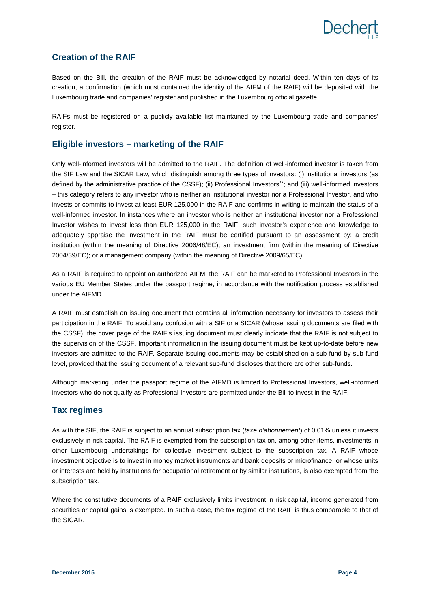#### **Creation of the RAIF**

Based on the Bill, the creation of the RAIF must be acknowledged by notarial deed. Within ten days of its creation, a confirmation (which must contained the identity of the AIFM of the RAIF) will be deposited with the Luxembourg trade and companies' register and published in the Luxembourg official gazette.

RAIFs must be registered on a publicly available list maintained by the Luxembourg trade and companies' register.

#### **Eligible investors – marketing of the RAIF**

Only well-informed investors will be admitted to the RAIF. The definition of well-informed investor is taken from the SIF Law and the SICAR Law, which distinguish among three types of investors: (i) institutional investors (as defined by the administrative practice of the CSSF); (ii) Professional Investors<sup>[xv](#page-8-14)</sup>; and (iii) well-informed investors – this category refers to any investor who is neither an institutional investor nor a Professional Investor, and who invests or commits to invest at least EUR 125,000 in the RAIF and confirms in writing to maintain the status of a well-informed investor. In instances where an investor who is neither an institutional investor nor a Professional Investor wishes to invest less than EUR 125,000 in the RAIF, such investor's experience and knowledge to adequately appraise the investment in the RAIF must be certified pursuant to an assessment by: a credit institution (within the meaning of Directive 2006/48/EC); an investment firm (within the meaning of Directive 2004/39/EC); or a management company (within the meaning of Directive 2009/65/EC).

As a RAIF is required to appoint an authorized AIFM, the RAIF can be marketed to Professional Investors in the various EU Member States under the passport regime, in accordance with the notification process established under the AIFMD.

A RAIF must establish an issuing document that contains all information necessary for investors to assess their participation in the RAIF. To avoid any confusion with a SIF or a SICAR (whose issuing documents are filed with the CSSF), the cover page of the RAIF's issuing document must clearly indicate that the RAIF is not subject to the supervision of the CSSF. Important information in the issuing document must be kept up-to-date before new investors are admitted to the RAIF. Separate issuing documents may be established on a sub-fund by sub-fund level, provided that the issuing document of a relevant sub-fund discloses that there are other sub-funds.

Although marketing under the passport regime of the AIFMD is limited to Professional Investors, well-informed investors who do not qualify as Professional Investors are permitted under the Bill to invest in the RAIF.

#### **Tax regimes**

As with the SIF, the RAIF is subject to an annual subscription tax (*taxe d'abonnement*) of 0.01% unless it invests exclusively in risk capital. The RAIF is exempted from the subscription tax on, among other items, investments in other Luxembourg undertakings for collective investment subject to the subscription tax. A RAIF whose investment objective is to invest in money market instruments and bank deposits or microfinance, or whose units or interests are held by institutions for occupational retirement or by similar institutions, is also exempted from the subscription tax.

Where the constitutive documents of a RAIF exclusively limits investment in risk capital, income generated from securities or capital gains is exempted. In such a case, the tax regime of the RAIF is thus comparable to that of the SICAR.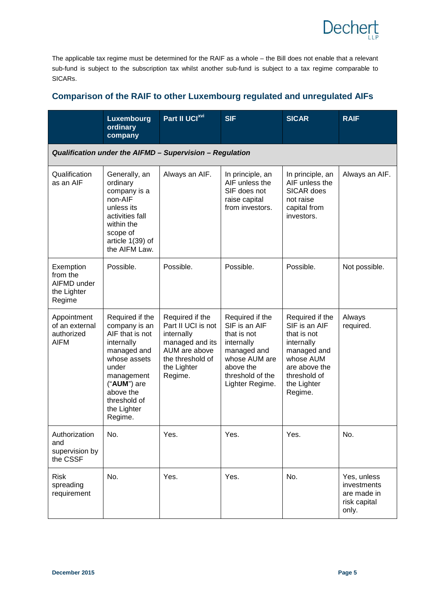The applicable tax regime must be determined for the RAIF as a whole – the Bill does not enable that a relevant sub-fund is subject to the subscription tax whilst another sub-fund is subject to a tax regime comparable to SICARs.

#### **Comparison of the RAIF to other Luxembourg regulated and unregulated AIFs**

|                                                               | <b>Luxembourg</b><br>ordinary<br>company                                                                                                                                                      | Part II UCI <sup>xvi</sup>                                                                                                            | <b>SIF</b>                                                                                                                                        | <b>SICAR</b>                                                                                                                                         | <b>RAIF</b>                                                        |  |
|---------------------------------------------------------------|-----------------------------------------------------------------------------------------------------------------------------------------------------------------------------------------------|---------------------------------------------------------------------------------------------------------------------------------------|---------------------------------------------------------------------------------------------------------------------------------------------------|------------------------------------------------------------------------------------------------------------------------------------------------------|--------------------------------------------------------------------|--|
| Qualification under the AIFMD - Supervision - Regulation      |                                                                                                                                                                                               |                                                                                                                                       |                                                                                                                                                   |                                                                                                                                                      |                                                                    |  |
| Qualification<br>as an AIF                                    | Generally, an<br>ordinary<br>company is a<br>non-AIF<br>unless its<br>activities fall<br>within the<br>scope of<br>article $1(39)$ of<br>the AIFM Law.                                        | Always an AIF.                                                                                                                        | In principle, an<br>AIF unless the<br>SIF does not<br>raise capital<br>from investors.                                                            | In principle, an<br>AIF unless the<br>SICAR does<br>not raise<br>capital from<br>investors.                                                          | Always an AIF.                                                     |  |
| Exemption<br>from the<br>AIFMD under<br>the Lighter<br>Regime | Possible.                                                                                                                                                                                     | Possible.                                                                                                                             | Possible.                                                                                                                                         | Possible.                                                                                                                                            | Not possible.                                                      |  |
| Appointment<br>of an external<br>authorized<br><b>AIFM</b>    | Required if the<br>company is an<br>AIF that is not<br>internally<br>managed and<br>whose assets<br>under<br>management<br>("AUM") are<br>above the<br>threshold of<br>the Lighter<br>Regime. | Required if the<br>Part II UCI is not<br>internally<br>managed and its<br>AUM are above<br>the threshold of<br>the Lighter<br>Regime. | Required if the<br>SIF is an AIF<br>that is not<br>internally<br>managed and<br>whose AUM are<br>above the<br>threshold of the<br>Lighter Regime. | Required if the<br>SIF is an AIF<br>that is not<br>internally<br>managed and<br>whose AUM<br>are above the<br>threshold of<br>the Lighter<br>Regime. | Always<br>required.                                                |  |
| Authorization<br>and<br>supervision by<br>the CSSF            | No.                                                                                                                                                                                           | Yes.                                                                                                                                  | Yes.                                                                                                                                              | Yes.                                                                                                                                                 | No.                                                                |  |
| <b>Risk</b><br>spreading<br>requirement                       | No.                                                                                                                                                                                           | Yes.                                                                                                                                  | Yes.                                                                                                                                              | No.                                                                                                                                                  | Yes, unless<br>investments<br>are made in<br>risk capital<br>only. |  |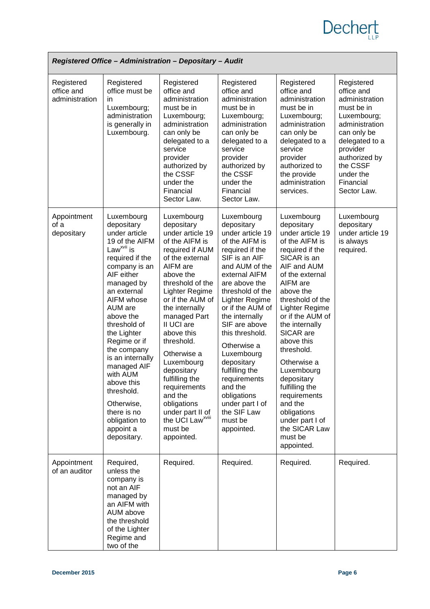# **Dechert**

| Registered Office - Administration - Depositary - Audit |                                                                                                                                                                                                                                                                                                                                                                                                                               |                                                                                                                                                                                                                                                                                                                                                                                                                                                         |                                                                                                                                                                                                                                                                                                                                                                                                                                          |                                                                                                                                                                                                                                                                                                                                                                                                                                                      |                                                                                                                                                                                                              |  |
|---------------------------------------------------------|-------------------------------------------------------------------------------------------------------------------------------------------------------------------------------------------------------------------------------------------------------------------------------------------------------------------------------------------------------------------------------------------------------------------------------|---------------------------------------------------------------------------------------------------------------------------------------------------------------------------------------------------------------------------------------------------------------------------------------------------------------------------------------------------------------------------------------------------------------------------------------------------------|------------------------------------------------------------------------------------------------------------------------------------------------------------------------------------------------------------------------------------------------------------------------------------------------------------------------------------------------------------------------------------------------------------------------------------------|------------------------------------------------------------------------------------------------------------------------------------------------------------------------------------------------------------------------------------------------------------------------------------------------------------------------------------------------------------------------------------------------------------------------------------------------------|--------------------------------------------------------------------------------------------------------------------------------------------------------------------------------------------------------------|--|
| Registered<br>office and<br>administration              | Registered<br>office must be<br>in.<br>Luxembourg;<br>administration<br>is generally in<br>Luxembourg.                                                                                                                                                                                                                                                                                                                        | Registered<br>office and<br>administration<br>must be in<br>Luxembourg;<br>administration<br>can only be<br>delegated to a<br>service<br>provider<br>authorized by<br>the CSSF<br>under the<br>Financial<br>Sector Law.                                                                                                                                                                                                                                 | Registered<br>office and<br>administration<br>must be in<br>Luxembourg;<br>administration<br>can only be<br>delegated to a<br>service<br>provider<br>authorized by<br>the CSSF<br>under the<br>Financial<br>Sector Law.                                                                                                                                                                                                                  | Registered<br>office and<br>administration<br>must be in<br>Luxembourg;<br>administration<br>can only be<br>delegated to a<br>service<br>provider<br>authorized to<br>the provide<br>administration<br>services.                                                                                                                                                                                                                                     | Registered<br>office and<br>administration<br>must be in<br>Luxembourg;<br>administration<br>can only be<br>delegated to a<br>provider<br>authorized by<br>the CSSF<br>under the<br>Financial<br>Sector Law. |  |
| Appointment<br>of a<br>depositary                       | Luxembourg<br>depositary<br>under article<br>19 of the AIFM<br>Law <sup>xvii</sup> is<br>required if the<br>company is an<br>AIF either<br>managed by<br>an external<br>AIFM whose<br>AUM are<br>above the<br>threshold of<br>the Lighter<br>Regime or if<br>the company<br>is an internally<br>managed AIF<br>with AUM<br>above this<br>threshold.<br>Otherwise,<br>there is no<br>obligation to<br>appoint a<br>depositary. | Luxembourg<br>depositary<br>under article 19<br>of the AIFM is<br>required if AUM<br>of the external<br>AIFM are<br>above the<br>threshold of the<br>Lighter Regime<br>or if the AUM of<br>the internally<br>managed Part<br>II UCI are<br>above this<br>threshold.<br>Otherwise a<br>Luxembourg<br>depositary<br>fulfilling the<br>requirements<br>and the<br>obligations<br>under part II of<br>the UCI Law <sup>xviii</sup><br>must be<br>appointed. | Luxembourg<br>depositary<br>under article 19<br>of the AIFM is<br>required if the<br>SIF is an AIF<br>and AUM of the<br>external AIFM<br>are above the<br>threshold of the<br>Lighter Regime<br>or if the AUM of<br>the internally<br>SIF are above<br>this threshold.<br>Otherwise a<br>Luxembourg<br>depositary<br>fulfilling the<br>requirements<br>and the<br>obligations<br>under part I of<br>the SIF Law<br>must be<br>appointed. | Luxembourg<br>depositary<br>under article 19<br>of the AIFM is<br>required if the<br>SICAR is an<br>AIF and AUM<br>of the external<br>AIFM are<br>above the<br>threshold of the<br>Lighter Regime<br>or if the AUM of<br>the internally<br>SICAR are<br>above this<br>threshold.<br>Otherwise a<br>Luxembourg<br>depositary<br>fulfilling the<br>requirements<br>and the<br>obligations<br>under part I of<br>the SICAR Law<br>must be<br>appointed. | Luxembourg<br>depositary<br>under article 19<br>is always<br>required.                                                                                                                                       |  |
| Appointment<br>of an auditor                            | Required,<br>unless the<br>company is<br>not an AIF<br>managed by<br>an AIFM with<br>AUM above<br>the threshold<br>of the Lighter<br>Regime and<br>two of the                                                                                                                                                                                                                                                                 | Required.                                                                                                                                                                                                                                                                                                                                                                                                                                               | Required.                                                                                                                                                                                                                                                                                                                                                                                                                                | Required.                                                                                                                                                                                                                                                                                                                                                                                                                                            | Required.                                                                                                                                                                                                    |  |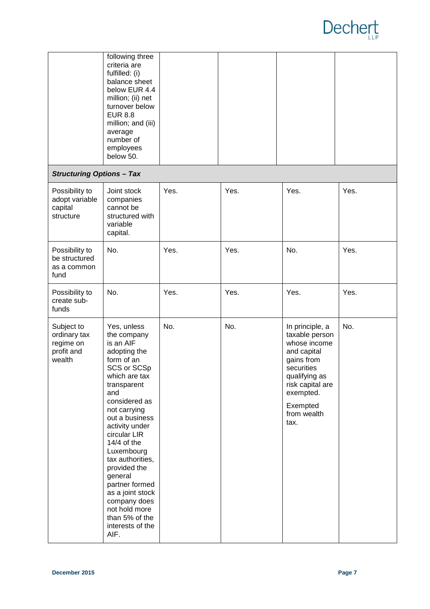

|                                                                 | following three<br>criteria are<br>fulfilled: (i)<br>balance sheet<br>below EUR 4.4<br>million; (ii) net<br>turnover below<br><b>EUR 8.8</b><br>million; and (iii)<br>average<br>number of<br>employees<br>below 50.                                                                                                                                                                                                |      |      |                                                                                                                                                                                   |      |
|-----------------------------------------------------------------|---------------------------------------------------------------------------------------------------------------------------------------------------------------------------------------------------------------------------------------------------------------------------------------------------------------------------------------------------------------------------------------------------------------------|------|------|-----------------------------------------------------------------------------------------------------------------------------------------------------------------------------------|------|
| <b>Structuring Options - Tax</b>                                |                                                                                                                                                                                                                                                                                                                                                                                                                     |      |      |                                                                                                                                                                                   |      |
| Possibility to<br>adopt variable<br>capital<br>structure        | Joint stock<br>companies<br>cannot be<br>structured with<br>variable<br>capital.                                                                                                                                                                                                                                                                                                                                    | Yes. | Yes. | Yes.                                                                                                                                                                              | Yes. |
| Possibility to<br>be structured<br>as a common<br>fund          | No.                                                                                                                                                                                                                                                                                                                                                                                                                 | Yes. | Yes. | No.                                                                                                                                                                               | Yes. |
| Possibility to<br>create sub-<br>funds                          | No.                                                                                                                                                                                                                                                                                                                                                                                                                 | Yes. | Yes. | Yes.                                                                                                                                                                              | Yes. |
| Subject to<br>ordinary tax<br>regime on<br>profit and<br>wealth | Yes, unless<br>the company<br>is an AIF<br>adopting the<br>form of an<br>SCS or SCSp<br>which are tax<br>transparent<br>and<br>considered as<br>not carrying<br>out a business<br>activity under<br>circular LIR<br>$14/4$ of the<br>Luxembourg<br>tax authorities,<br>provided the<br>general<br>partner formed<br>as a joint stock<br>company does<br>not hold more<br>than 5% of the<br>interests of the<br>AIF. | No.  | No.  | In principle, a<br>taxable person<br>whose income<br>and capital<br>gains from<br>securities<br>qualifying as<br>risk capital are<br>exempted.<br>Exempted<br>from wealth<br>tax. | No.  |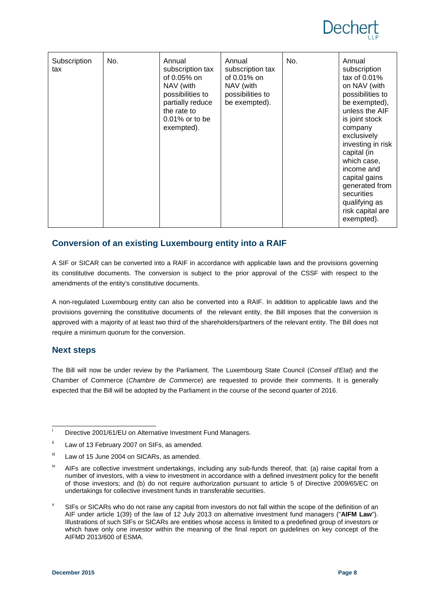# Deche

| Subscription<br>tax | No. | Annual<br>subscription tax<br>of 0.05% on<br>NAV (with<br>possibilities to<br>partially reduce<br>the rate to<br>$0.01\%$ or to be<br>exempted). | Annual<br>subscription tax<br>of 0.01% on<br>NAV (with<br>possibilities to<br>be exempted). | No. | Annual<br>subscription<br>tax of $0.01\%$<br>on NAV (with<br>possibilities to<br>be exempted),<br>unless the AIF<br>is joint stock<br>company<br>exclusively<br>investing in risk<br>capital (in<br>which case,<br>income and<br>capital gains<br>generated from<br>securities<br>qualifying as |
|---------------------|-----|--------------------------------------------------------------------------------------------------------------------------------------------------|---------------------------------------------------------------------------------------------|-----|-------------------------------------------------------------------------------------------------------------------------------------------------------------------------------------------------------------------------------------------------------------------------------------------------|
|                     |     |                                                                                                                                                  |                                                                                             |     | risk capital are<br>exempted).                                                                                                                                                                                                                                                                  |

#### **Conversion of an existing Luxembourg entity into a RAIF**

A SIF or SICAR can be converted into a RAIF in accordance with applicable laws and the provisions governing its constitutive documents. The conversion is subject to the prior approval of the CSSF with respect to the amendments of the entity's constitutive documents.

A non-regulated Luxembourg entity can also be converted into a RAIF. In addition to applicable laws and the provisions governing the constitutive documents of the relevant entity, the Bill imposes that the conversion is approved with a majority of at least two third of the shareholders/partners of the relevant entity. The Bill does not require a minimum quorum for the conversion.

#### **Next steps**

The Bill will now be under review by the Parliament. The Luxembourg State Council (*Conseil d'Etat*) and the Chamber of Commerce (*Chambre de Commerce*) are requested to provide their comments. It is generally expected that the Bill will be adopted by the Parliament in the course of the second quarter of 2016.

<sup>&</sup>lt;sup>i</sup> Directive 2001/61/EU on Alternative Investment Fund Managers.

ii Law of 13 February 2007 on SIFs, as amended.

iii Law of 15 June 2004 on SICARs, as amended.

<sup>&</sup>lt;sup>iv</sup> AIFs are collective investment undertakings, including any sub-funds thereof, that: (a) raise capital from a number of investors, with a view to investment in accordance with a defined investment policy for the benefit of those investors; and (b) do not require authorization pursuant to article 5 of Directive 2009/65/EC on undertakings for collective investment funds in transferable securities.

v SIFs or SICARs who do not raise any capital from investors do not fall within the scope of the definition of an AIF under article 1(39) of the law of 12 July 2013 on alternative investment fund managers ("**AIFM Law**"). Illustrations of such SIFs or SICARs are entities whose access is limited to a predefined group of investors or which have only one investor within the meaning of the final report on guidelines on key concept of the AIFMD 2013/600 of ESMA.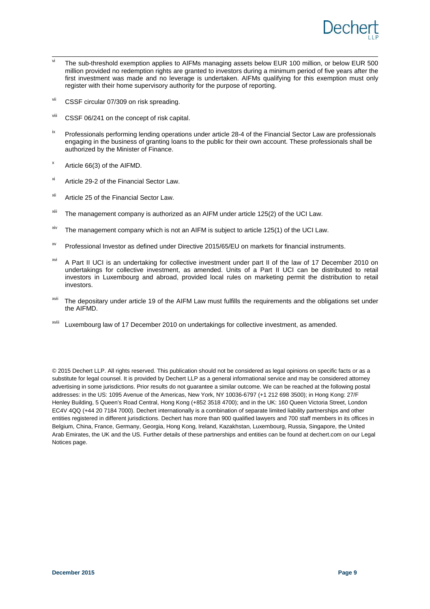

- <span id="page-8-5"></span> $\overline{v}$  The sub-threshold exemption applies to AIFMs managing assets below EUR 100 million, or below EUR 500 million provided no redemption rights are granted to investors during a minimum period of five years after the first investment was made and no leverage is undertaken. AIFMs qualifying for this exemption must only register with their home supervisory authority for the purpose of reporting.
- <span id="page-8-6"></span>vii CSSF circular 07/309 on risk spreading.
- <span id="page-8-7"></span>viii CSSF 06/241 on the concept of risk capital.
- <span id="page-8-8"></span><sup>ix</sup> Professionals performing lending operations under article 28-4 of the Financial Sector Law are professionals engaging in the business of granting loans to the public for their own account. These professionals shall be authorized by the Minister of Finance.
- <span id="page-8-9"></span>x Article 66(3) of the AIFMD.
- <span id="page-8-10"></span> $x_i$  Article 29-2 of the Financial Sector Law.
- <span id="page-8-11"></span><sup>xii</sup> Article 25 of the Financial Sector Law.
- <span id="page-8-12"></span> $x$ iii The management company is authorized as an AIFM under article 125(2) of the UCI Law.
- <span id="page-8-13"></span> $x<sup>ix</sup>$  The management company which is not an AIFM is subject to article 125(1) of the UCI Law.
- <span id="page-8-14"></span>xv Professional Investor as defined under Directive 2015/65/EU on markets for financial instruments.
- <span id="page-8-15"></span><sup>xvi</sup> A Part II UCI is an undertaking for collective investment under part II of the law of 17 December 2010 on undertakings for collective investment, as amended. Units of a Part II UCI can be distributed to retail investors in Luxembourg and abroad, provided local rules on marketing permit the distribution to retail investors.
- <span id="page-8-16"></span>The depositary under article 19 of the AIFM Law must fulfills the requirements and the obligations set under the AIFMD.
- <span id="page-8-17"></span>Luxembourg law of 17 December 2010 on undertakings for collective investment, as amended.

<span id="page-8-4"></span><span id="page-8-3"></span><span id="page-8-2"></span><span id="page-8-1"></span><span id="page-8-0"></span>© 2015 Dechert LLP. All rights reserved. This publication should not be considered as legal opinions on specific facts or as a substitute for legal counsel. It is provided by Dechert LLP as a general informational service and may be considered attorney advertising in some jurisdictions. Prior results do not guarantee a similar outcome. We can be reached at the following postal addresses: in the US: 1095 Avenue of the Americas, New York, NY 10036-6797 (+1 212 698 3500); in Hong Kong: 27/F Henley Building, 5 Queen's Road Central, Hong Kong (+852 3518 4700); and in the UK: 160 Queen Victoria Street, London EC4V 4QQ (+44 20 7184 7000). Dechert internationally is a combination of separate limited liability partnerships and other entities registered in different jurisdictions. Dechert has more than 900 qualified lawyers and 700 staff members in its offices in Belgium, China, France, Germany, Georgia, Hong Kong, Ireland, Kazakhstan, Luxembourg, Russia, Singapore, the United Arab Emirates, the UK and the US. Further details of these partnerships and entities can be found at dechert.com on our Legal Notices page.